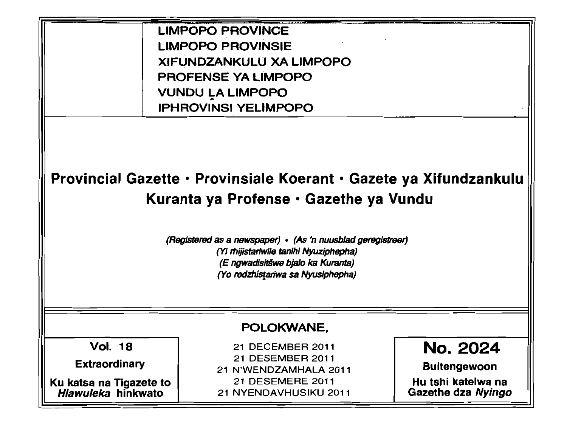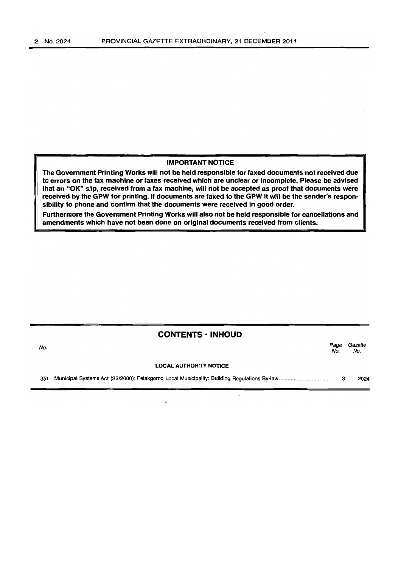## IMPORTANT NOTICE

The Government Printing Works will not be held responsible for faxed documents not received due to errors on the fax machine or faxes received which are unclear or incomplete. Please be advised that an "OK" slip, received from a fax machine, will not be accepted as proof that documents were received by the GPW for printing. If documents are faxed to the GPW it will be the sender's responsibility to phone and confirm that the documents were received in good order.

Furthermore the Government Printing Works will also not be held responsible for cancellations and amendments which have not been done on original documents received from clients.

## CONTENTS • INHOUD

| No. |                               | Page<br>No. | Gazette<br>No. |
|-----|-------------------------------|-------------|----------------|
|     | <b>LOCAL AUTHORITY NOTICE</b> |             |                |
| 351 |                               |             | 2024           |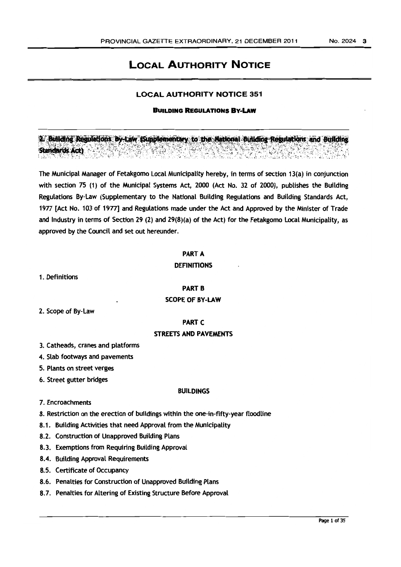# LOCAL AUTHORITY NOTICE

#### LOCAL AUTHORITY NOTICE 351

#### BUILDING REGULATIONS By-LAw

2. Building Regulations By-Law (Supplementary to the National Building Regulations and Building **Standards Act)** 

The Municipal Manager of Fetakgomo Local Municipality hereby. in terms of section 13(a) in conjunction with section 75 (1) of the Municipal Systems Act, 2000 (Act No. 32 of 2000), publishes the Building Regulations By-Law (Supplementary to the National Building Regulations and Building Standards Act, 1977 [Act No. 103 of 1977] and Regulations made under the Act and Approved by the Minister of Trade and Industry in terms of Section 29 (2) and 29(8)(a) of the Act) for the Fetakgomo Local Municipality, as approved by the Council and set out hereunder.

PART A

#### **DEFINITIONS**

1. Definitions

**PART B** 

## SCOPE OF BY-LAW

2. Scope of By-Law

**PART C** 

#### STREETS AND PAVEMENTS

- 3. Catheads, cranes and platforms
- 4. Slab footways and pavements
- 5. Plants on street verges
- 6. Street gutter bridges

#### BUILDINGS

- 7. Encroachments
- 8. Restriction on the erection of buildings within the one-in-fifty-year floodline
- 8.1. Building Activities that need Approval from the Municipality
- 8.2. Construction of Unapproved Building Plans
- 8.3. Exemptions from Requiring Building Approval
- 8.4. Building Approval Requirements
- 8.5. Certificate of Occupancy
- 8.6. Penalties for Construction of Unapproved Building Plans
- 8.7. Penalties for Altering of Existing Structure Before Approval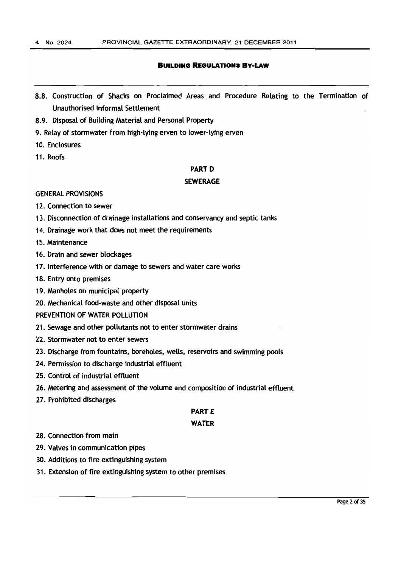- 8.8. Construction of Shacks on Proclaimed Areas and Procedure Relating to the Termination of Unauthorised Informal Settlement
- 8.9. Disposal of Building Material and Personal Property
- 9. Relay of stormwater from high-lying erven to lower-lying erven
- 10. Enclosures
- 11. Roofs

## **PART D**

### SEWERAGE

#### GENERAL PROVISIONS

- 12. Connection to sewer
- 13. Disconnection of drainage installations and conservancy and septic tanks
- 14. Drainage work that does not meet the requirements
- 15. Maintenance
- 16. Drain and sewer blockages
- 17. Interference with or damage to sewers and water care works
- 18. Entry onto premises
- 19. Manholes on municipal property
- 20. Mechanical food-waste and other disposal units

PREVENTION OF WATER POLLUTION

- 21. Sewage and other pollutants not to enter stormwater drains
- 22. Stormwater not to enter sewers
- 23. Discharge from fountains, boreholes, wells, reservoirs and swimming pools
- 24. Permission to discharge industrial effluent
- 25. Control of industrial effluent
- 26. Metering and assessment of the volume and composition of industrial effluent
- 27. Prohibited discharges

## **PARTE**

#### WATER

- 28. Connection from main
- 29. Valves in communication pipes
- 30. Additions to fire extinguishing system
- 31. Extension of fire extinguishing system to other premises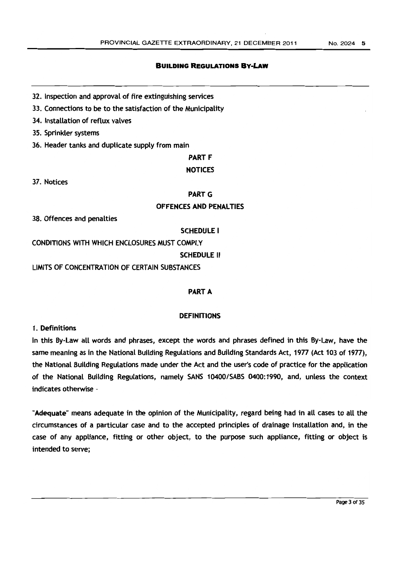- 32. Inspection and approval of fire extinguishing services
- 33. Connections to be to the satisfaction of the Municipality
- 34. Installation of reflux valves
- 35. Sprinkler systems
- 36. Header tanks and duplicate supply from main

**PART F** 

## **NOTICES**

37. Notices

## PART<sub>G</sub>

## OFFENCES AND PENALTIES

38. Offences and penalties

## SCHEDULE I

CONDITIONS WITH WHICH ENCLOSURES MUST COMPLY

## SCHEDULE II

LIMITS OF CONCENTRATION OF CERTAIN SUBSTANCES

## PART A

## **DEFINITIONS**

1. Definitions

In this By-Law all words and phrases, except the words and phrases defined in this By-Law, have the same meaning as in the National Building Regulations and Building Standards Act, 1977 (Act 103 of 1977), the National Building Regulations made under the Act and the user's code of practice for the application of the National Building Regulations, namely SANS 10400/SABS 0400:1990, and, unless the context indicates otherwise -

"Adequate" means adequate in the opinion of the Municipality, regard being had in all cases to all the circumstances of a particular case and to the accepted principles of drainage installation and, in the case of any appliance, fitting or other object, to the purpose such appliance, fitting or object is intended to serve;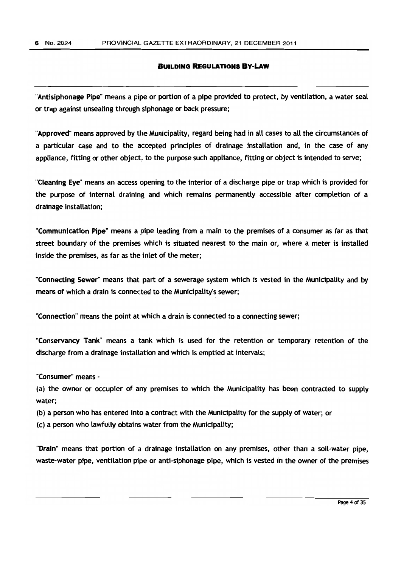"Antisiphonage Pipe" means a pipe or portion of a pipe provided to protect, by ventilation, a water seal or trap against unsealing through siphonage or back pressure;

"Approved" means approved by the Municipality, regard being had in all cases to all the circumstances of a particular case and to the accepted principles of drainage installation and, in the case of any appliance, fitting or other object, to the purpose such appliance, fitting or object is intended to serve;

"Cleaning Eye" means an access opening to the interior of a discharge pipe or trap which is provided for the purpose of internal draining and which remains permanently accessible after completion of a drainage installation;

"Communication Pipe" means a pipe leading from a main to the premises of a consumer as far as that street boundary of the premises which is situated nearest to the main or, where a meter is installed inside the premises, as far as the inlet of the meter;

"Connecting Sewer" means that part of a sewerage system which is vested in the Municipality and by means of which a drain is connected to the Municipality's sewer;

"Connection" means the point at which a drain is connected to a connecting sewer;

"Conservancy Tank" means a tank which is used for the retention or temporary retention of the discharge from a drainage installation and which is emptied at intervals;

"Consumer" means -

(a) the owner or occupier of any premises to which the Municipality has been contracted to supply water;

(b) a person who has entered into a contract with the Municipality for the supply of water; or

(c) a person who lawfully obtains water from the Municipality;

"Drain" means that portion of a drainage installation on any premises, other than a soil-water pipe, waste-water pipe, ventilation pipe or anti-siphonage pipe, which is vested in the owner of the premises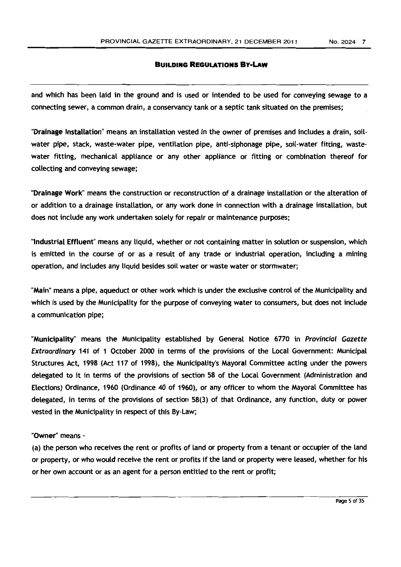and which has been laid in the ground and is used or intended to be used for conveying sewage to a connecting sewer, a common drain, a conservancy tank or a septic tank situated on the premises;

"Drainage Installation" means an installation vested in the owner of premises and includes a drain, soilwater pipe, stack, waste-water pipe, ventilation pipe, anti-siphonage pipe, soil-water fitting, wastewater fitting, mechanical appliance or any other appliance or fitting or combination thereof for collecting and conveying sewage;

"Drainage Work" means the construction or reconstruction of a drainage installation or the alteration of or addition to a drainage installation, or any work done in connection with a drainage installation, but does not include any work undertaken solely for repair or maintenance purposes;

"Industrial Effluent" means any liquid, whether or not containing matter in solution or suspension, which is emitted in the course of or as a result of any trade or industrial operation, including a mining operation, and includes any liquid besides soil water or waste water or stormwater;

"Main" means a pipe, aqueduct or other work which is under the exclusive control of the Municipality and which is used by the Municipality for the purpose of conveying water to consumers, but does not include a communication pipe;

"Municipality" means the Municipality established by General Notice 6770 in Provincial Gazette Extraordinary 141 of 1 October 2000 in terms of the provisions of the Local Government: Municipal Structures Act, 1998 (Act 117 of 1998), the Municipality's Mayoral Committee acting under the powers delegated to it in terms of the provisions of section 58 of the Local Government (Administration and Elections) Ordinance, 1960 (Ordinance 40 of 1960), or any officer to whom the Mayoral Committee has delegated, in terms of the provisions of section 58(3) of that Ordinance, any function, duty or power vested in the Municipality in respect of this By-Law;

"Owner" means -

(a) the person who receives the rent or profits of land or property from a tenant or occupier of the land or property, or who would receive the rent or profits if the land or property were leased, whether for his or her own account or as an agent for a person entitled to the rent or profit;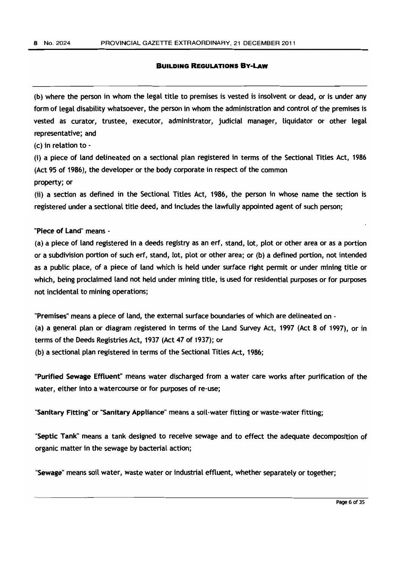(b) where the person in whom the legal title to premises is vested is insolvent or dead, or is under any form of legal disability whatsoever, the person in whom the administration and control of the premises is vested as curator, trustee, executor, administrator, judicial manager, liquidator or other legal representative; and

(c) in relation to -

(i) a piece of land delineated on a sectional plan registered in terms of the Sectional Titles Act, 1986 (Act 95 of 1986), the developer or the body corporate in respect of the common property; or

(ii) a section as defined in the Sectional Titles Act, 1986, the person in whose name the section is registered under a sectional title deed, and includes the lawfully appointed agent of such person;

#### "Piece **of** Land" means -

(a) a piece of land registered in a deeds registry as an erf, stand, lot, plot or other area or as a portion or a subdivision portion of such erf, stand, lot, plot or other area; or (b) a defined portion, not intended as a public place, of a piece of land which is held under surface right permit or under mining title or which, being proclaimed land not held under mining title, is used for residential purposes or for purposes not incidental to mining operations;

"Premises" means a piece of land, the external surface boundaries of which are delineated on - (a) a general plan or diagram registered in terms of the Land Survey Act, 1997 (Act 8 of 1997), or in terms of the Deeds Registries Act, 1937 (Act 47 of 1937); or

(b) a sectional plan registered in terms of the Sectional Titles Act, 1986;

"Purified Sewage Effluent" means water discharged from a water care works after purification of the water, either into a watercourse or for purposes of re-use;

"Sanitary Fitting" or "Sanitary Appliance" means a soil-water fitting or waste-water fitting;

"Septic Tank" means a tank designed to receive sewage and to effect the adequate decomposition of organic matter in the sewage by bacterial action;

"Sewage" means soil water, waste water or industrial effluent, whether separately or together;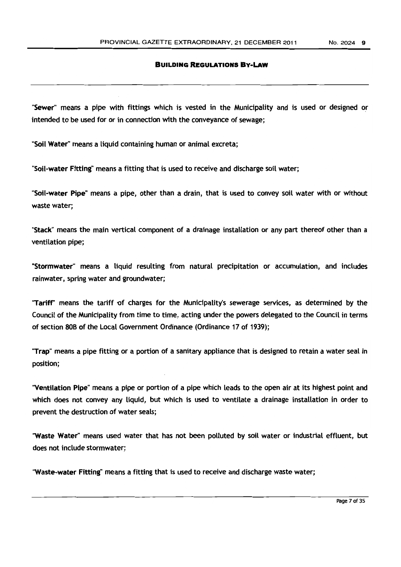"Sewer" means a pipe with fittings which is vested in the Municipality and is used or designed or intended to be used for or in connection with the conveyance of sewage;

"Soil Water" means a liquid containing human or animal excreta;

"Soil-water Fitting" means a fitting that is used to receive and discharge soil water;

"Soil-water Pipe" means a pipe, other than a drain, that is used to convey soil water with or without waste water;

"Stack" means the main vertical component of a drainage instaLLation or any part thereof other than a ventilation pipe;

"Stormwater" means a liquid resulting from natural precipitation or accumulation, and includes rainwater, spring water and groundwater;

"Tariff" means the tariff of charges for the Municipality's sewerage services, as determined by the Council of the Municipality from time to time, acting under the powers delegated to the Council in terms of section 80B of the Local Government Ordinance (Ordinance 17 of 1939);

"Trap" means a pipe fitting or a portion of a sanitary appliance that is designed to retain a water seal in position;

"Ventilation Pipe" means a pipe or portion of a pipe which leads to the open air at its highest point and which does not convey any liquid, but which is used to ventilate a drainage installation in order to prevent the destruction of water seals;

"Waste Water" means used water that has not been polluted by soil water or industrial effluent, but does not include stormwater;

"Waste-water Fitting" means a fitting that is used to receive and discharge waste water;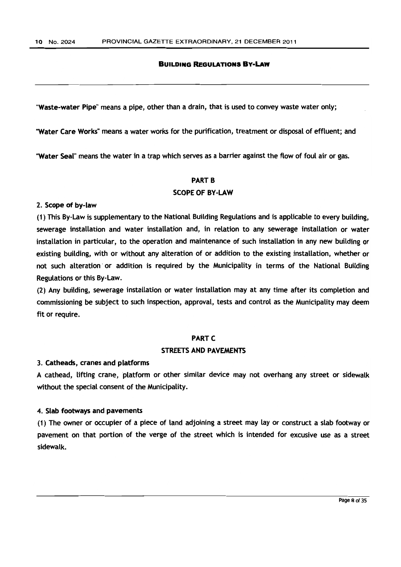"Waste-water Pipe" means a pipe, other than a drain, that is used to convey waste water only;

"Water Care Works" means a water works for the purification, treatment or disposal of effluent; and

"Water Seal" means the water in a trap which serves as a barrier against the flow of foul air or gas.

#### **PART B**

#### SCOPE OF BY-LAW

#### 2. Scope of by-law

(1) This By-Law is supplementary to the National Building Regulations and is applicable to every building, sewerage installation and water installation and, in relation to any sewerage installation or water installation in particular, to the operation and maintenance of such installation in any new building or existing building, with or without any alteration of or addition to the existing installation, whether or not such alteration or addition is required by the Municipality in terms of the National Building Regulations or this By-Law.

(2) Any building, sewerage installation or water instaLLation may at any time after its completion and commissioning be subject to such inspection, approval, tests and control as the Municipality may deem fit or require.

### **PART C**

## STREETS AND PAVEMENTS

#### 3. Catheads, cranes and platforms

A cathead, lifting crane, platform or other similar device may not overhang any street or sidewalk without the special consent of the Municipality.

## 4. Slab footways and pavements

(1) The owner or occupier of a piece of land adjoining a street may lay or construct a slab footway or pavement on that portion of the verge of the street which is intended for excusive use as a street sidewalk.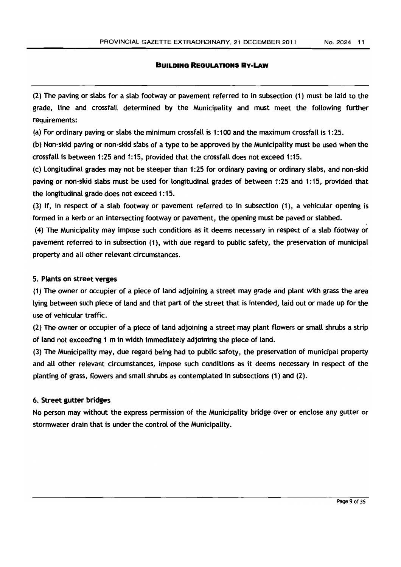(2) The paving or slabs for a slab footway or pavement referred to in subsection (1) must be laid to the grade, line and crossfall determined by the Municipality and must meet the following further requirements:

(a) For ordinary paving or slabs the minimum crossfall is 1:100 and the maximum crossfall is 1:25.

(b) Non-skid paving or non-skid slabs of a type to be approved by the Municipality must be used when the crossfall is between 1: 25 and 1: 15, provided that the crossfall does not exceed 1: 15.

(c) Longitudinal grades may not be steeper than 1 :25 for ordinary paving or ordinary slabs, and non-skid paving or non-skid slabs must be used for longitudinal grades of between 1 :25 and 1: 15, provided that the longitudinal grade does not exceed 1: 15.

(3) If, in respect of a slab footway or pavement referred to in subsection (1), a vehicular opening is formed in a kerb or an intersecting footway or pavement, the opening must be paved or slabbed.

(4) The Municipality may impose such conditions as it deems necessary in respect of a slab footway or pavement referred to in subsection (1), with due regard to public safety, the preservation of municipal property and all other relevant circumstances.

#### 5. Plants on street verges

(1) The owner or occupier of a piece of land adjoining a street may grade and plant with grass the area lying between such piece of land and that part of the street that is intended, laid out or made up for the use of vehicular traffic.

(2) The owner or occupier of a piece of land adjoining a street may plant flowers or small shrubs a strip of land not exceeding 1 m in width immediately adjoining the piece of land.

(3) The Municipality may, due regard being had to public safety, the preservation of municipal property and all other relevant circumstances, impose such conditions as it deems necessary in respect of the planting of grass, flowers and small shrubs as contemplated in subsections (1) and (2).

## 6. Street gutter bridges

No person may without the express permission of the Municipality bridge over or enclose any gutter or stormwater drain that is under the control of the Municipality.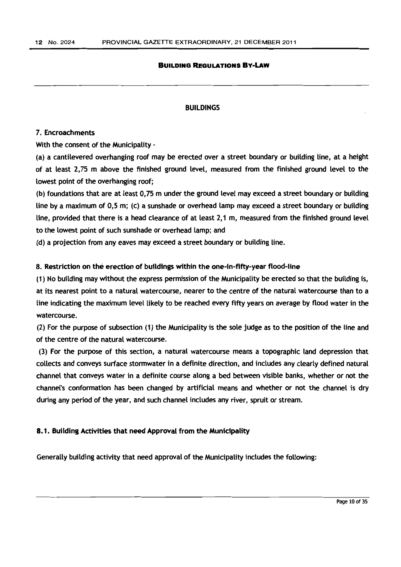#### BUILDINGS

#### 7. Encroachments

With the consent of the Municipality -

(a) a cantilevered overhanging roof may be erected over a street boundary or building line, at a height of at least 2,75 m above the finished ground level, measured from the finished ground level to the lowest point of the overhanging roof;

(b) foundations that are at least 0,75 m under the ground Level may exceed a street boundary or building line by a maximum of 0,5 m; (c) a sunshade or overhead lamp may exceed a street boundary or buiLding line, provided that there is a head clearance of at least 2,1 m, measured from the finished ground level to the lowest point of such sunshade or overhead lamp; and

(d) a projection from any eaves may exceed a street boundary or building line.

## 8. Restriction on the erection of buildings within the one-in-fifty-year flood-line

(1) No building may without the express permission of the Municipality be erected so that the building is, at its nearest point to a natural watercourse, nearer to the centre of the natural watercourse than to a line indicating the maximum level likely to be reached every fifty years on average by flood water in the watercourse.

 $(2)$  For the purpose of subsection  $(1)$  the Municipality is the sole judge as to the position of the line and of the centre of the natural watercourse.

(3) For the purpose of this section, a natural watercourse means a topographic land depression that collects and conveys surface stormwater in a definite direction, and includes any clearly defined natural channel that conveys water in a definite course along a bed between visible banks, whether or not the channel's conformation has been changed by artifidal means and whether or not the channel is dry during any period of the year, and such channel includes any river, spruit or stream.

#### 8.1. Building Activities that need Approval from the Municipality

Generally building activity that need approval of the Municipality includes the following: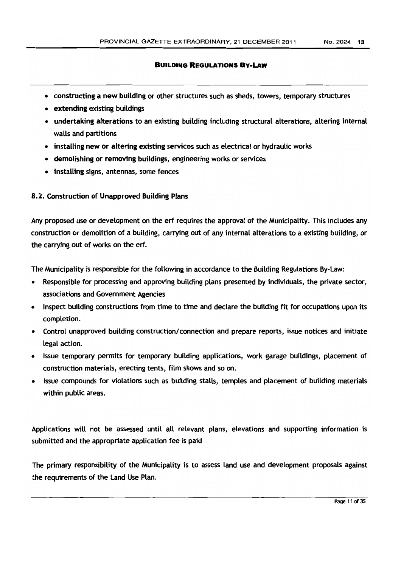- constructing a new building or other structures such as sheds, towers, temporary structures
- extending existing buildings
- undertaking alterations to an existing building including structural alterations, altering internal walls and partitions
- installing new or altering eXisting services such as electrical or hydraulic works
- demolishing or removing buildings, engineering works or services
- installing signs, antennas, some fences

## 8.2. Construction of Unapproved Building Plans

Any proposed use or development on the erf requires the approval of the Municipality. This includes any construction or demolition of a building, carrying out of any internal alterations to a existing building, or the carrying out of works on the erf.

The Municipality is responsible for the following in accordance to the Building Regulations By-Law:

- Responsible for processing and approving building plans presented by individuals, the private sector, associations and Government Agencies
- Inspect building constructions from time to time and declare the building fit for occupations upon its completion.
- Control unapproved building construction/connection and prepare reports, issue notices and initiate legal action.
- Issue temporary permits for temporary building applications, work garage buiLdings, placement of construction materials, erecting tents, film shows and so on.
- Issue compounds for violations such as building stalls, temples and placement of building materials within public areas.

Applications will not be assessed until all relevant plans, elevations and supporting information is submitted and the appropriate application fee is paid

The primary responsibility of the Municipality is to assess land use and development proposals against the requirements of the Land Use Plan.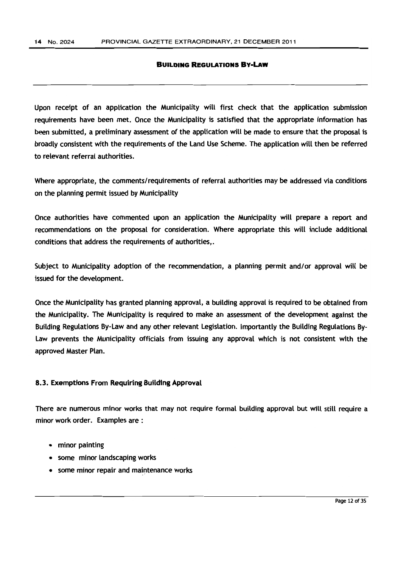Upon receipt of an application the Municipality will first check that the application submission requirements have been met. Once the Municipality is satisfied that the appropriate information has been submitted, a preliminary assessment of the application will be made to ensure that the proposal is broadly consistent with the requirements of the land Use Scheme. The application will then be referred to relevant referral authorities.

Where appropriate, the comments/requirements of referral authorities may be addressed via conditions on the planning permit issued by Municipality

Once authorities have commented upon an application the Municipality will prepare a report and recommendations on the proposal for consideration. Where appropriate this will include additional conditions that address the requirements of authorities,.

Subject to Municipality adoption of the recommendation, a planning permit and/or approval will be issued for the development.

Once the Municipality has granted planning approval, a building approval is required to be obtained from the Municipality. The Municipality is required to make an assessment of the development against the Building Regulations By-law and any other relevant legislation. Importantly the BuiLding Regulations By-Law prevents the Municipality officials from issuing any approval which is not consistent with the approved Master Plan.

#### 8.3. Exemptions From Requiring Building Approval

There are numerous minor works that may not require formal building approval but will still require a minor work order. Examples are :

- minor painting
- some minor landscaping works
- some minor repair and maintenance works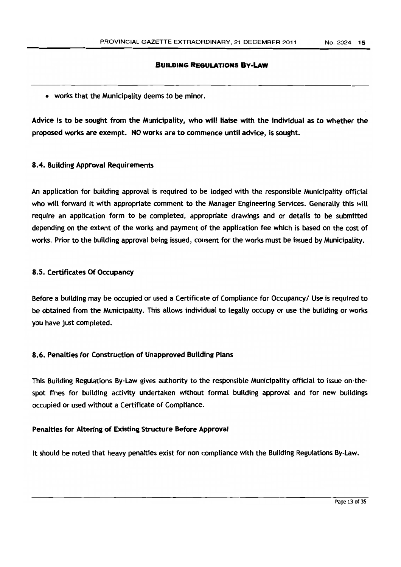• works that the Municipality deems to be minor.

Advice is to be sought from the Municipality, who will liaise with the individual as to whether the proposed works are exempt. NO works are to commence until advice, is sought.

## 8.4. Building Approval Requirements

An application for building approval is required to be lodged with the responsible Municipality official who will forward it with appropriate comment to the Manager Engineering Services. Generally this will require an application form to be completed, appropriate drawings and or details to be submitted depending on the extent of the works and payment of the application fee which is based on the cost of works. Prior to the building approval being issued, consent for the works must be issued by Municipality.

## 8.5. Certificates Of Occupancy

Before a building may be occupied or used a Certificate of Compliance for Occupancy/ Use is required to be obtained from the Municipality. This allows individual to legally occupy or use the building or works you have just completed.

## 8.6. Penalties for Construction of Unapproved Building Plans

This Building Regulations By-Law gives authority to the responsible Municipality official to issue on-thespot fines for building activity undertaken without formal building approval and for new buildings occupied or used without a Certificate of Compliance.

## Penalties for Altering of Existing Structure Before Approval

It should be noted that heavy penalties exist for non compliance with the Building Regulations By-Law.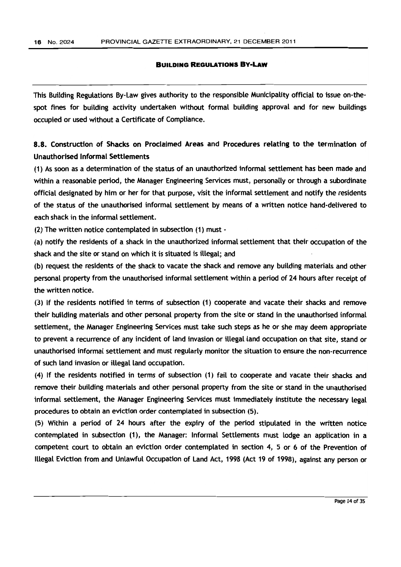This Building Regulations By-Law gives authority to the responsible Municipality official to issue on-thespot fines for building activity undertaken without formal building approval and for new buildings occupied or used without a Certificate of Compliance.

S.S. Construction of Shacks on Proclaimed Areas and Procedures relating to the termination of Unauthorised Informal Settlements

(1) As soon as a determination of the status of an unauthorized informal settlement has been made and within a reasonable period, the Manager Engineering Services must, personally or through a subordinate official designated by him or her for that purpose, visit the informal settlement and notify the residents of the status of the unauthorised informal settlement by means of a written notice hand-delivered to each shack in the informal settlement.

(2) The written notice contemplated in subsection (1) must -

(a) notify the residents of a shack in the unauthorized informal settlement that their occupation of the shack and the site or stand on which it is situated is illegal; and

(b) request the residents of the shack to vacate the shack and remove any building materials and other personal property from the unauthorised informal settlement within a period of 24 hours after receipt of the written notice.

(3) If the residents notified in terms of subsection (1) cooperate and vacate their shacks and remove their building materials and other personal property from the site or stand in the unauthorised informal settlement, the Manager Engineering Services must take such steps as he or she may deem appropriate to prevent a recurrence of any incident of land invasion or illegal land occupation on that site, stand or unauthorised informaL settlement and must regularly monitor the situation to ensure the non-recurrence of such land invasion or illegal land occupation.

(4) If the residents notified in terms of subsection (1) fail to cooperate and vacate their shacks and remove their building materials and other personal property from the site or stand in the unauthorised informal settlement, the Manager Engineering Services must immediately institute the necessary legal procedures to obtain an eviction order contemplated in subsection (5).

(5) Within a period of 24 hours after the expiry of the period stipulated in the written notice contemplated in subsection (1), the Manager: Informal Settlements must Lodge an application in a competent court to obtain an eviction order contemplated in section 4, 5 or 6 of the Prevention of Illegal Eviction from and Unlawful Occupation of Land Act, 1998 (Act 19 of 1998), against any person or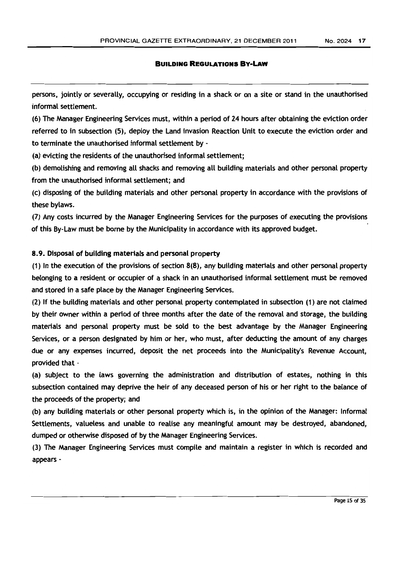persons, jointly or severally, occupying or residing in a shack or on a site or stand in the unauthorised informal settlement.

(6) The Manager Engineering Services must, within a period of 24 hours after obtaining the eviction order referred to in subsection (5), deploy the Land Invasion Reaction Unit to execute the eviction order and to terminate the unauthorised informal settlement by -

(a) evicting the residents of the unauthorised informal settlement;

(b) demolishing and removing all shacks and removing all building materials and other personal property from the unauthorised informal settlement; and

(c) disposing of the building materials and other personal property in accordance with the provisions of these bylaws.

(7) Any costs incurred by the Manager Engineering Services for the purposes of executing the provisions of this By-Law must be borne by the Municipality in accordance with its approved budget.

## 8.9. Disposal of building materials and personal property

(1) In the execution of the provisions of section  $8(8)$ , any building materials and other personal property belonging to a resident or occupier of a shack in an unauthorised informal settlement must be removed and stored in a safe place by the Manager Engineering Services.

(2) If the building materials and other personal property contemplated in subsection (1) are not claimed by their owner within a period of three months after the date of the removal and storage, the building materials and personal property must be sold to the best advantage by the Manager Engineering Services, or a person designated by him or her, who must, after deducting the amount of any charges due or any expenses incurred, deposit the net proceeds into the Municipality's Revenue Account, provided that -

(a) subject to the laws governing the administration and distribution of estates, nothing in this subsection contained may deprive the heir of any deceased person of his or her right to the balance of the proceeds of the property; and

(b) any building materials or other personal property which is, in the opinion of the Manager: Informal Settlements, valueless and unable to realise any meaningful amount may be destroyed, abandoned, dumped or otherwise disposed of by the Manager Engineering Services.

(3) The Manager Engineering Services must compile and maintain a register in which is recorded and appears -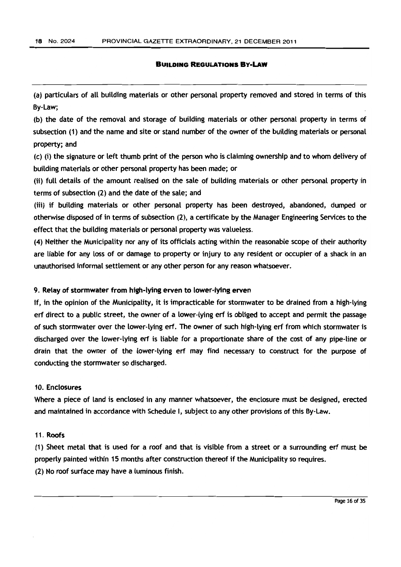(a) particulars of all building materials or other personal property removed and stored in terms of this By-Law;

(b) the date of the removal and storage of building materials or other personal property in terms of subsection (1) and the name and site or stand number of the owner of the building materials or personal property; and

(c) (i) the signature or left thumb print of the person who is claiming ownership and to whom delivery of building materials or other personal property has been made; or

(ii) full details of the amount realised on the sale of building materials or other personal property in terms of subsection (2) and the date of the sale; and

(iii) if building materials or other personal property has been destroyed, abandoned, dumped or otherwise disposed of in terms of subsection (2), a certificate by the Manager Engineering Services to the effect that the building materials or personal property was valueless.

(4) Neither the Municipality nor any of its officials acting within the reasonable scope of their authority are liable for any loss of or damage to property or injury to any resident or occupier of a shack in an unauthorised informal settlement or any other person for any reason whatsoever.

## 9. Relay of stormwater from high-lying erven to lower-lying erven

If, in the opinion of the Municipality, it is impracticable for stormwater to be drained from a high-lying erf direct to a public street, the owner of a lower-lying erf is obliged to accept and permit the passage of such stormwater over the lower-lying erf. The owner of such high-lying erf from which stormwater is discharged over the lower-lying erf is liable for a proportionate share of the cost of any pipe-line or drain that the owner of the lower-lying erf may find necessary to construct for the purpose of conducting the stormwater so discharged.

## 10. Enclosures

Where a piece of land is enclosed in any manner whatsoever, the enclosure must be designed, erected and maintained in accordance with Schedule I, subject to any other provisions of this By-Law.

### 11. Roofs

(1) Sheet metal that is used for a roof and that is visible from a street or a surrounding erf must be properly painted within 15 months after construction thereof if the Municipality so requires. (2) No roof surface may have a luminous finish.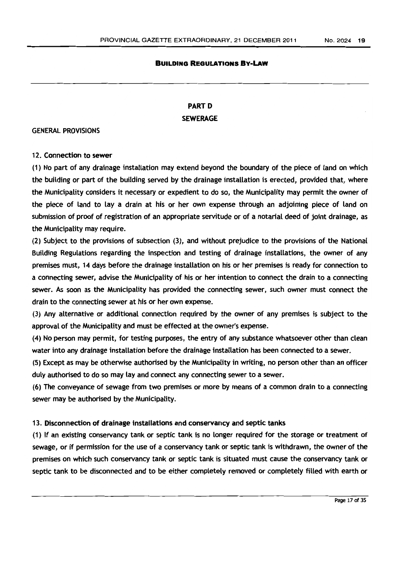## **PARTD SEWERAGE**

#### GENERAL PROVISIONS

## 12. Connection to sewer

(1) No part of any drainage installation may extend beyond the boundary of the piece of land on which the building or part of the building served by the drainage installation is erected, provided that, where the Municipality considers it necessary or expedient to do so, the Municipality may permit the owner of the piece of land to lay a drain at his or her own expense through an adjoining piece of land on submission of proof of registration of an appropriate servitude or of a notarial deed of joint drainage, as the Municipality may require.

(2) Subject to the provisions of subsection (3), and without prejudice to the provisions of the National Building Regulations regarding the inspection and testing of drainage installations, the owner of any premises must, 14 days before the drainage installation on his or her premises is ready for connection to a connecting sewer, advise the Municipality of his or her intention to connect the drain to a connecting sewer. As soon as the Municipality has provided the connecting sewer, such owner must connect the drain to the connecting sewer at his or her own expense.

(3) Any alternative or additional connection required by the owner of any premises is subject to the approval of the Municipality and must be effected at the owner's expense.

(4) No person may permit, for testing purposes, the entry of any substance whatsoever other than clean water into any drainage installation before the drainage installation has been connected to a sewer.

(5) Except as may be otherwise authorised by the Municipality in writing, no person other than an officer duly authorised to do so may lay and connect any connecting sewer to a sewer.

(6) The conveyance of sewage from two premises or more by means of a common drain to a connecting sewer may be authorised by the Municipality.

## 13. Disconnection of drainage installations and conservancy and septic tanks

(1) If an existing conservancy tank or septic tank is no longer required for the storage or treatment of sewage, or if permission for the use of a conservancy tank or septic tank is withdrawn, the owner of the premises on which such conservancy tank or septic tank is situated must cause the conservancy tank or septic tank to be disconnected and to be either completely removed or completely filled with earth or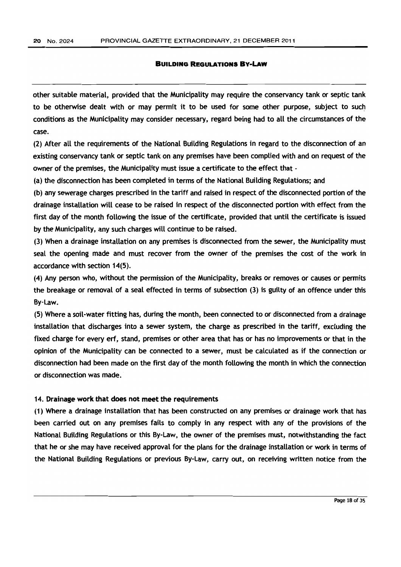other suitable material, provided that the Municipality may require the conservancy tank or septic tank to be otherwise dealt with or may permit it to be used for some other purpose, subject to such conditions as the Municipality may consider necessary, regard being had to all the circumstances of the case.

(2) After all the requirements of the National Building Regulations in regard to the disconnection of an existing conservancy tank or septic tank on any premises have been complied with and on request of the owner of the premises, the Municipality must issue a certificate to the effect that -

(a) the disconnection has been completed in terms of the National Building Regulations; and

(b) any sewerage charges prescribed in the tariff and raised in respect of the disconnected portion of the drainage installation will cease to be raised in respect of the disconnected portion with effect from the first day of the month following the issue of the certificate, provided that until the certificate is issued by the Municipality, any such charges will continue to be raised.

(3) When a drainage installation on any premises is disconnected from the sewer, the Municipality must seal the opening made and must recover from the owner of the premises the cost of the work in accordance with section 14(5).

(4) Any person who, without the permission of the Municipality, breaks or removes or causes or permits the breakage or removal of a seal effected in terms of subsection (3) is guilty of an offence under this By-Law.

(5) Where a soil-water fitting has, during the month, been connected to or disconnected from a drainage installation that discharges into a sewer system, the charge as prescribed in the tariff, excluding the fixed charge for every erf, stand, premises or other area that has or has no improvements or that in the opinion of the Municipality can be connected to a sewer, must be calculated as if the connection or disconnection had been made on the first day of the month follOwing the month in which the connection or disconnection was made.

#### 14. Drainage work that does not meet the requirements

(1) Where a drainage installation that has been constructed on any premises or drainage work that has been carried out on any premises fails to comply in any respect with any of the provisions of the National Building Regulations or this By-Law, the owner of the premises must, notwithstanding the fact that he or she may have received approval for the plans for the drainage installation or work in terms of the National Building Regulations or previous By-Law, carry out, on receiving written notice from the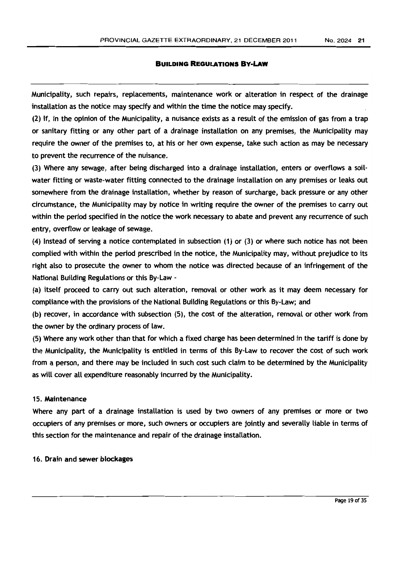Municipality, such repairs, replacements, maintenance work or alteration in respect of the drainage installation as the notice may specify and within the time the notice may specify.

(2) If, in the opinion of the Municipality, a nuisance exists as a result of the emission of gas from a trap or sanitary fitting or any other part of a drainage installation on any premises, the Municipality may require the owner of the premises to, at his or her own expense, take such action as may be necessary to prevent the recurrence of the nuisance.

(3) Where any sewage, after being discharged into a drainage installation, enters or overflows a soilwater fitting or waste-water fitting connected to the drainage installation on any premises or leaks out somewhere from the drainage installation, whether by reason of surcharge, back pressure or any other circumstance, the Municipality may by notice in writing require the owner of the premises to carry out within the period specified in the notice the work necessary to abate and prevent any recurrence of such entry, overflow or leakage of sewage.

(4) Instead of serving a notice contemplated in subsection (1) or (3) or where such notice has not been complied with within the period prescribed in the notice, the Municipality may, without prejudice to its right also to prosecute the owner to whom the notice was directed because of an infringement of the National Building Regulations or this By-Law -

(a) itself proceed to carry out such alteration, removal or other work as it may deem necessary for compliance with the provisions of the National Building Regulations or this By-Law; and

(b) recover, in accordance with subsection (5), the cost of the alteration, removal or other work from the owner by the ordinary process of law.

(5) Where any work other than that for which a fixed charge has been determined in the tariff is done by the Municipality, the Municipality is entitled in terms of this By-Law to recover the cost of such work from a person, and there may be included in such cost such claim to be determined by the Municipality as will cover all expenditure reasonably incurred by the Municipality.

#### 15. Maintenance

Where any part of a drainage installation is used by two owners of any premises or more or two occupiers of any premises or more, such owners or occupiers are jointly and severally liable in terms of this section for the maintenance and repair of the drainage installation.

#### 16. Drain and sewer blockages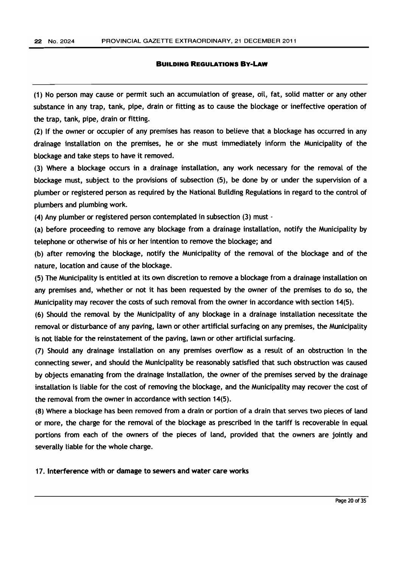(1) No person may cause or permit such an accumulation of grease, oil, fat, solid matter or any other substance in any trap, tank, pipe, drain or fitting as to cause the blockage or ineffective operation of the trap, tank, pipe, drain or fitting.

(2) If the owner or occupier of any premises has reason to believe that a bLockage has occurred in any drainage installation on the premises, he or she must immediately inform the Municipality of the blockage and take steps to have it removed.

(3) Where a blockage occurs in a drainage installation, any work necessary for the removal of the blockage must, subject to the provisions of subsection (5), be done by or under the supervision of a plumber or registered person as required by the National BuiLding ReguLations in regard to the control of pLumbers and plumbing work.

(4) Any pLumber or registered person contemplated in subsection (3) must -

(a) before proceeding to remove any blockage from a drainage installation, notify the Municipality by telephone or otherwise of his or her intention to remove the blockage; and

(b) after removing the blockage, notify the Municipality of the removal of the blockage and of the nature, location and cause of the blockage.

(5) The Munidpality is entitled at its own discretion to remove a blockage from a drainage installation on any premises and, whether or not it has been requested by the owner of the premises to do so, the Municipality may recover the costs of such removal from the owner in accordance with section 14(5).

(6) Should the removal by the Municipality of any blockage in a drainage installation necessitate the removal or disturbance of any paving, lawn or other artificial surfacing on any premises, the Municipality is not liable for the reinstatement of the paving, lawn or other artificial surfacing.

(7) Should any drainage installation on any premises overflow as a result of an obstruction in the connecting sewer, and should the Municipality be reasonably satisfied that such obstruction was caused by objects emanating from the drainage installation, the owner of the premises served by the drainage installation is liable for the cost of removing the blockage, and the Municipality may recover the cost of the removal from the owner in accordance with section 14(5).

(8) Where a blockage has been removed from a drain or portion of a drain that serves two pieces of land or more, the charge for the removal of the blockage as prescribed in the tariff is recoverable in equal portions from each of the owners of the pieces of land, provided that the owners are jointly and severally liable for the whole charge.

17. Interference with or damage to sewers and water care works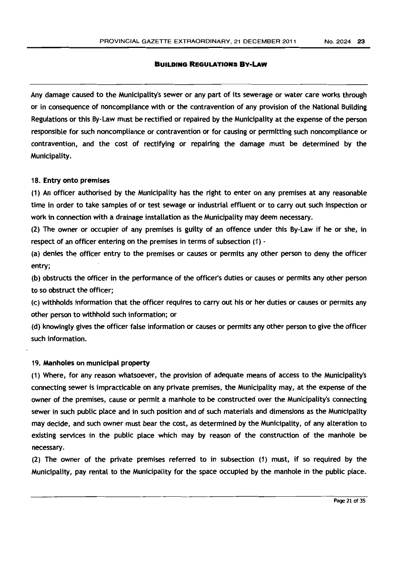Any damage caused to the Municipality's sewer or any part of its sewerage or water care works through or in consequence of noncompliance with or the contravention of any provision of the National Building Regulations or this By-Law must be rectified or repaired by the Municipality at the expense of the person responsible for such noncompliance or contravention or for causing or permitting such noncompliance or contravention, and the cost of rectifying or repairing the damage must be determined by the Municipality.

#### 18. Entry onto premises

(1) An officer authorised by the Municipality has the right to enter on any premises at any reasonable time in order to take samples of or test sewage or industrial effluent or to carry out such inspection or work in connection with a drainage installation as the Municipality may deem necessary.

(2) The owner or occupier of any premises is guilty of an offence under this By-Law if he or she, in respect of an officer entering on the premises in terms of subsection (1) •

(a) denies the officer entry to the premises or causes or permits any other person to deny the officer entry;

(b) obstructs the officer in the performance of the officer's duties or causes or permits any other person to so obstruct the officer;

(c) withholds information that the officer requires to carry out his or her duties or causes or permits any other person to withhold such information; or

(d) knowingly gives the officer false information or causes or permits any other person to give the officer such information.

#### 19. Manholes on municipal property

(1) Where, for any reason whatsoever, the provision of adequate means of access to the Municipality's connecting sewer is impracticable on any private premises, the Municipality may, at the expense of the owner of the premises, cause or permit a manhole to be constructed over the Municipality's connecting sewer in such public place and in such position and of such materials and dimensions as the Municipality may decide, and such owner must bear the cost, as determined by the Municipality, of any alteration to existing services in the public place which may by reason of the construction of the manhole be necessary.

(2) The owner of the private premises referred to in subsection (1) must, if so required by the Municipality, pay rental to the Municipality for the space occupied by the manhole in the public place.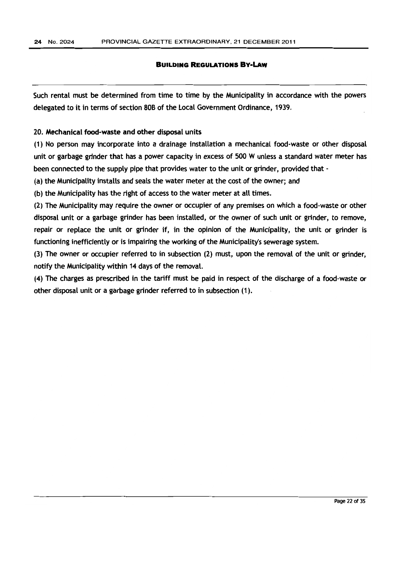Such rental must be determined from time to time by the Municipality in accordance with the powers delegated to it in terms of section 80B of the local Government Ordinance, 1939.

### 20. Mechanical food-waste and other disposal units

(1) No person may incorporate into a drainage installation a mechanicaL food-waste or other disposal unit or garbage grinder that has a power capacity in excess of 500 W unless a standard water meter has been connected to the supply pipe that provides water to the unit or grinder, provided that -

(a) the Municipality installs and seals the water meter at the cost of the owner; and

(b) the Municipality has the right of access to the water meter at all times.

(2) The Municipality may require the owner or occupier of any premises on which a food-waste or other disposal unit or a garbage grinder has been installed, or the owner of such unit or grinder, to remove, repair or replace the unit or grinder if, in the opinion of the Municipality, the unit or grinder is functioning inefficiently or is impairing the working of the Municipality's sewerage system.

(3) The owner or occupier referred to in subsection (2) must, upon the removal of the unit or grinder, notify the Municipality within 14 days of the removal.

(4) The charges as prescribed in the tariff must be paid in respect of the discharge of a food-waste or other disposal unit or a garbage grinder referred to in subsection (1).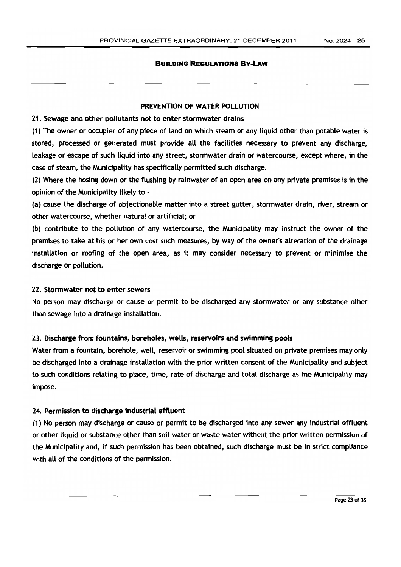#### PREVENTION OF WATER POLLUTION

#### 21. Sewage and other pollutants not to enter stormwater drains

(1) The owner or occupier of any piece of land on which steam or any liquid other than potable water is stored, processed or generated must provide all the facilities necessary to prevent any discharge, leakage or escape of such liquid into any street, stormwater drain or watercourse, except where, in the case of steam, the Municipality has specifically permitted such discharge.

(2) Where the hosing down or the flushing by rainwater of an open area on any private premises is in the opinion of the Municipality likely to -

(a) cause the discharge of objectionable matter into a street gutter, stormwater drain, river, stream or other watercourse, whether natural or artificial; or

(b) contribute to the pollution of any watercourse, the Municipality may instruct the owner of the premises to take at his or her own cost such measures, by way of the owner's alteration of the drainage installation or roofing of the open area, as it may consider necessary to prevent or minimise the discharge or pollution.

#### 22. Stormwater not to enter sewers

No person may discharge or cause or permit to be discharged any stormwater or any substance other than sewage into a drainage installation.

#### 23. Discharge from fountains, boreholes, wells, reservoirs and swimming pools

Water from a fountain, borehole, well, reservoir or swimming pool situated on private premises may only be discharged into a drainage installation with the prior written consent of the Municipality and subject to such conditions relating to place, time, rate of discharge and total discharge as the Municipality may impose.

## 24. Permission to discharge industrial effluent

(1) No person may discharge or cause or permit to be discharged into any sewer any industrial effluent or other liquid or substance other than soil water or waste water without the prior written permission of the Municipality and, if such permission has been obtained, such discharge must be in strict compliance with all of the conditions of the permission.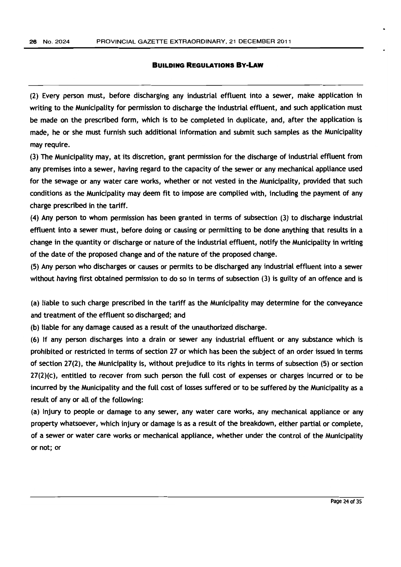(2) Every person must, before discharging any industrial effluent into a sewer, make application in writing to the Municipality for permission to discharge the industrial effluent, and such application must be made on the prescribed form, which is to be completed in duplicate, and, after the application is made, he or she must furnish such additional information and submit such samples as the Municipality may require.

(3) The Municipality may, at its discretion, grant permission for the discharge of industrial effluent from any premises into a sewer, having regard to the capacity of the sewer or any mechanical appliance used for the sewage or any water care works, whether or not vested in the Municipality, provided that such conditions as the Municipality may deem fit to impose are complied with, including the payment of any charge prescribed in the tariff.

(4) Any person to whom permission has been granted in terms of subsection (3) to discharge industrial effluent into a sewer must, before doing or causing or permitting to be done anything that results in a change in the quantity or discharge or nature of the industrial effluent, notify the Municipality in writing of the date of the proposed change and of the nature of the proposed change.

(5) Any person who discharges or causes or permits to be discharged any industrial effluent into a sewer without having first obtained permission to do so in terms of subsection (3) is guilty of an offence and is

(a) liable to such charge prescribed in the tariff as the Municipality may determine for the conveyance and treatment of the effluent so discharged; and

(b) liable for any damage caused as a result of the unauthorized discharge.

(6) If any person discharges into a drain or sewer any industrial effluent or any substance which is prohibited or restricted in terms of section 27 or which has been the subject of an order issued in terms of section 27(2), the Municipality is, without prejudice to its rights in terms of subsection (5) or section 27(2)(c), entitled to recover from such person the full cost of expenses or charges incurred or to be incurred by the Municipality and the full cost of losses suffered or to be suffered by the Municipality as a result of any or all of the following:

(a) Injury to people or damage to any sewer, any water care works, any mechanical appliance or any property whatsoever, which injury or damage is as a result of the breakdown, either partial or complete, of a sewer or water care works or mechanical appliance, whether under the control of the Municipality or not; or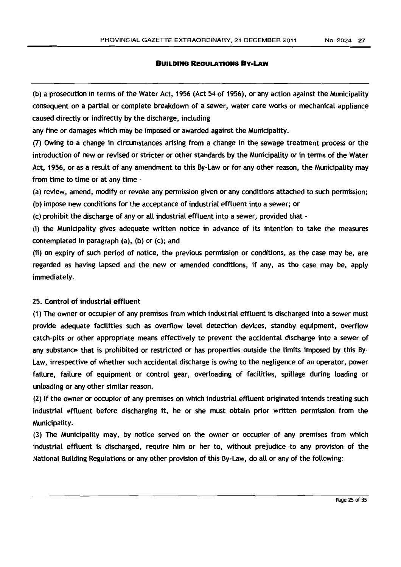(b) a prosecution in terms of the Water Act, 1956 (Act 54 of 1956), or any action against the Municipality consequent on a partial or complete breakdown of a sewer, water care works or mechanical appliance caused directly or indirectly by the discharge, including

any fine or damages which may be imposed or awarded against the Municipality.

(7) Owing to a change in drcumstances arising from a change in the sewage treatment process or the introduction of new or revised or stricter or other standards by the Municipality or in terms of the Water Act, 1956, or as a result of any amendment to this By-Law or for any other reason, the Municipality may from time to time or at any time -

(a) review, amend, modify or revoke any permission given or any conditions attached to such permission;

(b) impose new conditions for the acceptance of industrial effluent into a sewer; or

(c) prohibit the discharge of any or all industrial effluent into a sewer, provided that -

(i) the Municipality gives adequate written notice in advance of its intention to take the measures contemplated in paragraph (a), (b) or (c); and

(ii) on expiry of such period of notice, the previous permission or conditions, as the case may be, are regarded as having lapsed and the new or amended conditions, if any, as the case may be, apply immediately.

#### 25. Control of industrial effluent

(1) The owner or occupier of any premises from which industrial effluent is discharged into a sewer must provide adequate fadlities such as overflow level detection devices, standby equipment, overflow catch-pits or other appropriate means effectively to prevent the accidental discharge into a sewer of any substance that is prohibited or restricted or has properties outside the limits imposed by this By-Law, irrespective of whether such accidental discharge is owing to the negligence of an operator, power failure, failure of equipment or control gear, overloading of facilities, spillage during loading or unloading or any other similar reason.

(2) If the owner or occupier of any premises on which industrial effluent originated intends treating such industrial effluent before discharging it, he or she must obtain prior written permission from the Municipality.

(3) The Municipality may, by notice served on the owner or occupier of any premises from which industrial effluent is discharged, require him or her to, without prejudice to any provision of the National Building Regulations or any other provision of this By-Law, do all or any of the following: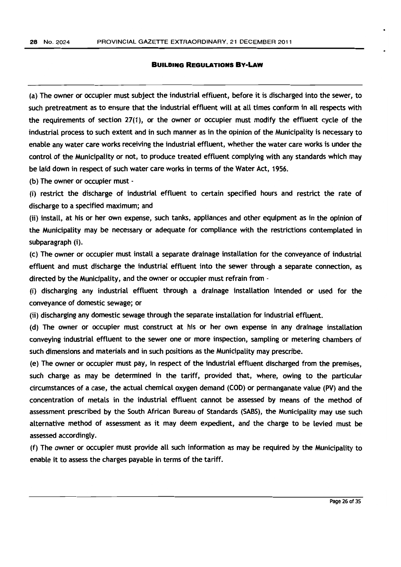(a) The owner or occupier must subject the industrial effluent, before it is discharged into the sewer, to such pretreatment as to ensure that the industrial effluent will at all times conform in all respects with the requirements of section 27(1), or the owner or occupier must modify the effluent cycle of the industrial process to such extent and in such manner as in the opinion of the Municipality is necessary to enable any water care works receiving the industrial effluent, whether the water care works is under the control of the Municipality or not, to produce treated effluent complying with any standards which may be laid down in respect of such water care works in terms of the Water Act, 1956.

(b) The owner or occupier must .

(i) restrict the discharge of industrial effluent to certain specified hours and restrict the rate of discharge to a specified maximum; and

(ii) install, at his or her own expense, such tanks, appliances and other equipment as in the opinion of the Municipality may be necessary or adequate for compliance with the restrictions contemplated in subparagraph (i).

(c) The owner or occupier must install a separate drainage installation for the conveyance of industrial effluent and must discharge the industrial effluent into the sewer through a separate connection, as directed by the Municipality, and the owner or occupier must refrain from·

(i) discharging any industrial effluent through a drainage installation intended or used for the conveyance of domestic sewage; or

(ii) discharging any domestic sewage through the separate installation for industrial effluent.

(d) The owner or occupier must construct at his or her own expense in any drainage installation conveying industrial effluent to the sewer one or more inspection, sampling or metering chambers of such dimensions and materials and in such positions as the Municipality may prescribe.

(e) The owner or occupier must pay, in respect of the industrial effluent discharged from the premises, such charge as may be determined in the tariff, provided that, where, owing to the particular circumstances of a case, the actual chemical oxygen demand (COD) or permanganate value (PV) and the concentration of metals in the industrial effluent cannot be assessed by means of the method of assessment prescribed by the South African Bureau of Standards (SABS), the Municipality may use such alternative method of assessment as it may deem expedient, and the charge to be levied must be assessed accordingly.

(f) The owner or occupier must provide all such information as may be required by the Municipality to enable it to assess the charges payable in terms of the tariff.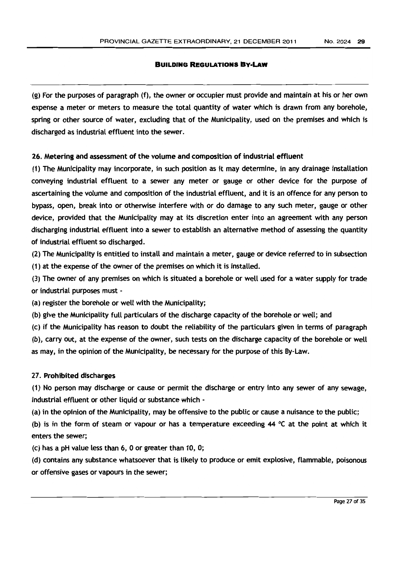(g) For the purposes of paragraph (f), the owner or occupier must provide and maintain at his or her own expense a meter or meters to measure the total quantity of water which is drawn from any borehole, spring or other source of water, excluding that of the Municipality, used on the premises and which is discharged as industrial effluent into the sewer.

## 26. Metering and assessment of the volume and composition of industrial effluent

(1) The Municipality may incorporate, in such position as it may determine, in any drainage installation conveying industrial effluent to a sewer any meter or gauge or other device for the purpose of ascertaining the volume and composition of the industrial effluent, and it is an offence for any person to bypass, open, break into or otherwise interfere with or do damage to any such meter, gauge or other device, provided that the Municipality may at its discretion enter into an agreement with any person discharging industrial effluent into a sewer to establish an alternative method of assessing the quantity of industrial effluent so discharged.

(2) The Municipality is entitled to install and maintain a meter, gauge or device referred to in subsection (1) at the expense of the owner of the premises on which it is installed.

(3) The owner of any premises on which is situated a borehole or well used for a water supply for trade or industrial purposes must -

(a) register the borehole or well with the Municipality;

(b) give the Municipality full particulars of the discharge capacity of the borehole or well; and

(c) if the Municipality has reason to doubt the reliability of the particulars given in terms of paragraph (b), carry out, at the expense of the owner, such tests on the discharge capacity of the borehole or well as may, in the opinion of the Municipality, be necessary for the purpose of this By-Law.

## 27. Prohibited discharges

(1) No person may discharge or cause or permit the discharge or entry into any sewer of any sewage, industrial effluent or other liquid or substance which -

(a) in the opinion of the Municipality, may be offensive to the public or cause a nuisance to the public;

(b) is in the form of steam or vapour or has a temperature exceeding 44  $\degree$ C at the point at which it enters the sewer;

 $(c)$  has a pH value less than 6, 0 or greater than 10, 0;

(d) contains any substance whatsoever that is likely to produce or emit explosive, flammable, poisonous or offensive gases or vapours in the sewer;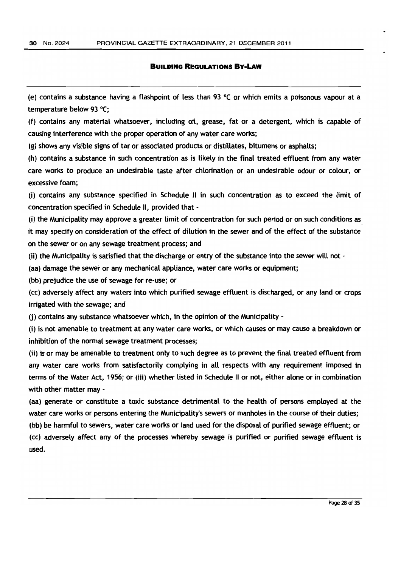(e) contains a substance having a flashpoint of less than 93 °C or which emits a poisonous vapour at a temperature below 93 °C;

(f) contains any material whatsoever, including oil, grease, fat or a detergent, which is capable of causing interference with the proper operation of any water care works;

(g) shows any visible signs of tar or associated products or distillates, bitumens or asphalts;

(h) contains a substance in such concentration as is likely in the final treated effluent from any water care works to produce an undesirable taste after chlorination or an undesirable odour or colour, or excessive foam;

(i) contains any substance specified in Schedule II in such concentration as to exceed the limit of concentration specified in Schedule II, provided that -

(i) the Municipality may approve a greater limit of concentration for such period or on such conditions as it may specify on consideration of the effect of dilution in the sewer and of the effect of the substance on the sewer or on any sewage treatment process; and

(ii) the Municipality is satisfied that the discharge or entry of the substance into the sewer will not  $-$ 

(aa) damage the sewer or any mechanical appliance, water care works or equipment;

(bb) prejudice the use of sewage for re-use; or

(cc) adversely affect any waters into which puriffed sewage effluent is discharged, or any land or crops irrigated with the sewage; and

(i) contains any substance whatsoever which, in the opinion of the Municipality -

(i) is not amenable to treatment at any water care works, or which causes or may cause a breakdown or inhibition of the normal sewage treatment processes;

(ii) is or may be amenable to treatment only to such degree as to prevent the final treated effluent from any water care works from satisfactorily complying in all respects with any requirement imposed in terms of the Water Act, 1956; or (iii) whether listed in Schedule II or not, either alone or in combination with other matter may -

(aa) generate or constitute a toxic substance detrimental to the health of persons employed at the water care works or persons entering the Municipality's sewers or manholes in the course of their duties;

(bb) be harmful to sewers, water care works or land used for the disposal of purified sewage effluent; or

(cc) adversely affect any of the processes whereby sewage is purified or purified sewage effluent is used.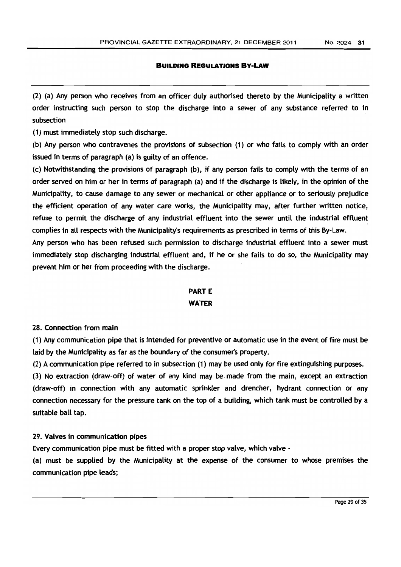(2) (a) Any person who receives from an officer duly authorised thereto by the Municipality a written order instructing such person to stop the discharge into a sewer of any substance referred to in subsection

(1) must immediately stop such discharge.

(b) Any person who contravenes the provisions of subsection (1) or who fails to comply with an order issued in terms of paragraph (a) is guilty of an offence.

(c) Notwithstanding the provisions of paragraph (b), if any person fails to comply with the terms of an order served on him or her in terms of paragraph (a) and if the discharge is likeLy, in the opinion of the Municipality, to cause damage to any sewer or mechanical or other appliance or to seriously prejudice the efficient operation of any water care works, the Municipality may, after further written notice, refuse to permit the discharge of any industrial effluent into the sewer until the industrial effluent complies in aU respects with the Municipality's requirements as prescribed in terms of this By-Law.

Any person who has been refused such permission to discharge industrial effluent into a sewer must immediately stop discharging industrial effluent and, if he or she fails to do so, the Municipality may prevent him or her from proceeding with the discharge,

## **PARTE**

## WATER

## 28. Connection from main

(1) Any communication pipe that is intended for preventive or automatic use in the event of fire must be laid by the Municipality as far as the boundary of the consumer's property.

(2) A communication pipe referred to in subsection (1) may be used only for fire extinguishing purposes.

(3) No extraction (draw-off) of water of any kind may be made from the main, except an extraction (draw-off) in connection with any automatic sprinkler and drencher, hydrant connection or any connection necessary for the pressure tank on the top of a building, which tank must be controlled by a suitable ball tap.

## 29. Valves in communication pipes

Every communication pipe must be fitted with a proper stop valve, which valve -

(a) must be supplied by the Municipality at the expense of the consumer to whose premises the communication pipe leads;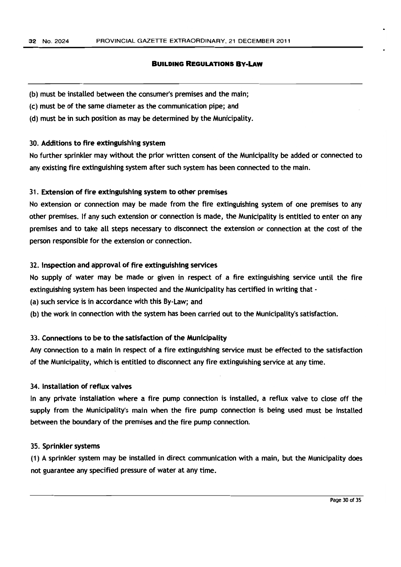- (b) must be installed between the consumer's premises and the main;
- (c) must be of the same diameter as the communication pipe; and
- (d) must be in such position as may be determined by the Municipality.

#### 30. Additions to fire extinguishing system

No further sprinkler may without the prior written consent of the Municipality be added or connected to any existing fire extinguishing system after such system has been connected to the main.

#### 31. Extension of fire extinguishing system to other premises

No extension or connection may be made from the fire extinguishing system of one premises to any other premises. If any such extension or connection is made, the Municipality is entitled to enter on any premises and to take all steps necessary to disconnect the extension or connection at the cost of the person responsible for the extension or connection.

#### 32. Inspection and approval of fire extinguishing services

No supply of water may be made or given in respect of a fire extinguishing service until the fire extinguishing system has been inspected and the Municipality has certified in writing that -

(a) such service is in accordance with this By-Law; and

(b) the work in connection with the system has been carried out to the Municipality's satisfaction.

## 33. Connections to be to the satisfaction of the Municipality

Any connection to a main in respect of a fire extinguishing service must be effected to the satisfaction of the Municipality, which is entitled to disconnect any fire extinguishing service at any time.

## 34. Installation of reflux valves

In any private installation where a fire pump connection is installed, a reflux valve to dose off the supply from the Municipality's main when the fire pump connection is being used must be installed between the boundary of the premises and the fire pump connection.

#### 35. Sprinkler systems

(1) A sprinkler system may be installed in direct communication with a main, but the Municipality does not guarantee any specified pressure of water at any time.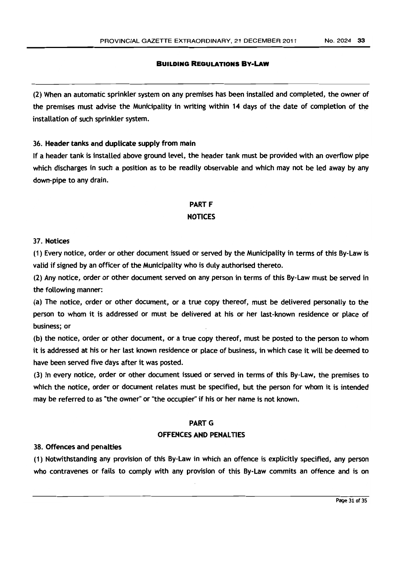(2) When an automatic sprinkler system on any premises has been installed and completed, the owner of the premises must advise the Municipality in writing within 14 days of the date of completion of the installation of such sprinkler system.

#### 36. Header tanks and duplicate supply from matn

If a header tank is installed above ground level, the header tank must be provided with an overflow pipe which discharges in such a position as to be readily observable and which may not be led away by any down-pipe to any drain.

## **PART F** NOTICES

#### 37. Notices

(1) Every notice, order or other document issued or served by the Munidpality in terms of this By-law is valid if signed by an officer of the Municipality who is duly authorised thereto.

(2) Any notice, order or other document served on any person in terms of this By-Law must be served in the following manner:

(a) The notice, order or other document, or a true copy thereof, must be delivered personally to the person to whom it is addressed or must be delivered at his or her last-known residence or place of business; or

(b) the notice, order or other document, or a true copy thereof, must be posted to the person to whom it is addressed at his or her last known residence or place of business, in which case it will be deemed to have been served five days after it was posted.

(3) In every notice, order or other document issued or served in terms of this By-Law, the premises to which the notice, order or document relates must be specified, but the person for whom it is intended may be referred to as "the owner" or "the occupier" if his or her name is not known.

## **PART G**

## OFFENCES AND PENALTIES

#### 38. Offences and penalties

(1) Notwithstanding any provision of this By-law in which an offence is explidtly specified, any person who contravenes or fails to comply with any provision of this By-Law commits an offence and is on

Page 31 of 35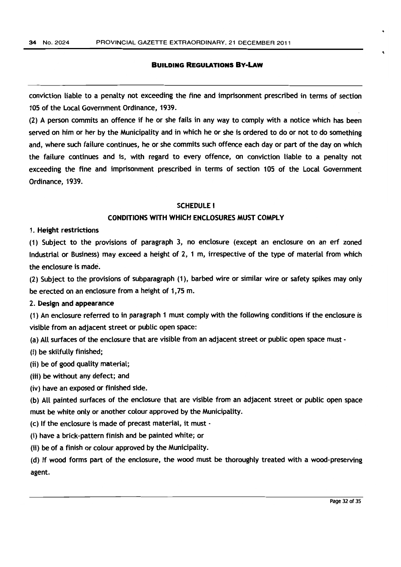conviction liable to a penalty not exceeding the fine and imprisonment prescribed in terms of section 105 of the Local Government Ordinance, 1939.

(2) A person commits an offence if he or she fails in any way to comply with a notice which has been served on him or her by the Municipality and in which he or she is ordered to do or not to do something and, where such failure continues, he or she commits such offence each day or part of the day on which the failure continues and is, with regard to every offence, on conviction liable to a penalty not exceeding the fine and imprisonment prescribed in terms of section 105 of the Local Government Ordinance, 1939.

#### SCHEDULE I

### CONDITIONS WITH WHICH ENCLOSURES MUST COMPLY

#### 1. Height restrictions

(1) Subject to the provisions of paragraph 3, no enclosure (except an enclosure on an erf zoned Industrial or Business) may exceed a height of 2, 1 m, irrespective of the type of material from which the enclosure is made.

(2) Subject to the provisions of subparagraph (1), barbed wire or similar wire or safety spikes may only be erected on an enclosure from a height of 1,75 m.

## 2. Design and appearance

(1) An enclosure referred to in paragraph 1 must comply with the following conditions if the enclosure is visible from an adjacent street or public open space:

(a) All surfaces of the enclosure that are visible from an adjacent street or public open space must·

(i) be skilfully finished;

(ii) be of good quality material;

- (iii) be without any defect; and
- (iv) have an exposed or finished side.

(b) AU painted surfaces of the enclosure that are visible from an adjacent street or public open space must be white only or another colour approved by the Municipality.

(c) If the enclosure is made of precast material, it must -

(i) have a brick-pattern finish and be painted white; or

(ii) be of a finish or colour approved by the Municipality.

(d) If wood forms part of the enclosure, the wood must be thoroughly treated with a wood-preserving agent.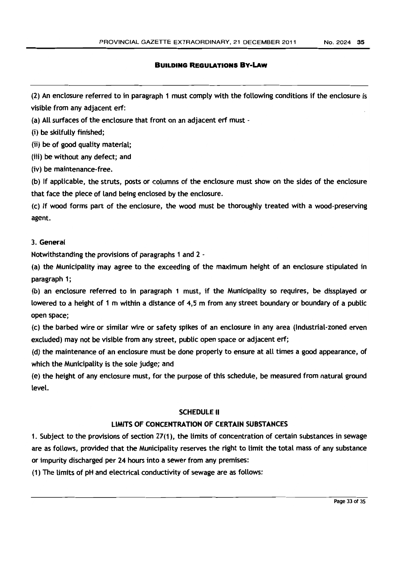(2) An enclosure referred to in paragraph 1 must comply with the following conditions if the enclosure is visible from any adjacent erf:

(a) All surfaces of the enclosure that front on an adjacent erf must -

(i) be skilfully finished;

(ii) be of good quality material:

(iii) be without any defect; and

(iv) be maintenance-free.

(b) If applicable, the struts, posts or columns of the enclosure must show on the sides of the enclosure that face the piece of land being enclosed by the enclosure.

(c) If wood forms part of the enclosure, the wood must be thoroughly treated with a wood-preserving agent.

## 3. General

Notwithstanding the provisions of paragraphs 1 and 2 -

(a) the Municipality may agree to the exceeding of the maximum height of an enclosure stipulated in paragraph 1;

(b) an enclosure referred to in paragraph 1 must, if the Municipality so requires, be dissplayed or Lowered to a height of 1 m within a distance of 4,5 m from any street boundary or boundary of a public open space;

(c) the barbed wire or simflar wire or safety spikes of an enclosure in any area (Industrial-zoned erven excluded) may not be visible from any street, public open space or adjacent erf;

(d) the maintenance of an enclosure must be done properly to ensure at aU times a good appearance, of which the Municipality is the sole judge; and

(e) the height of any enclosure must, for the purpose of this schedule, be measured from natural ground level.

## SCHEDULE II

## LIMITS OF CONCENTRATION OF CERTAIN SUBSTANCES

1. Subject to the provisions of section 27(1), the limits of concentration of certain substances in sewage are as follows, provided that the Municipality reserves the right to limit the total mass of any substance or impurity discharged per 24 hours into a sewer from any premises:

(1) The limits of pH and electrical conductivity of sewage are as follows: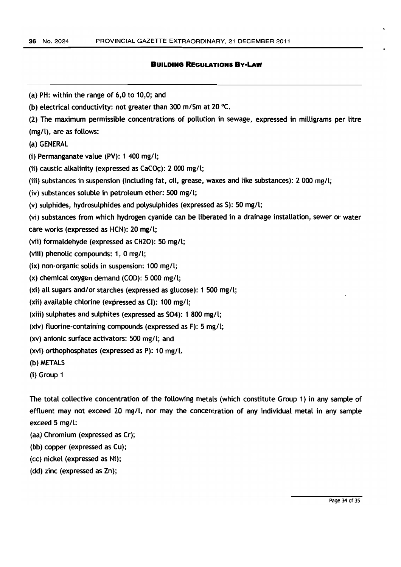| (a) PH: within the range of 6,0 to 10,0; and                                                            |
|---------------------------------------------------------------------------------------------------------|
| (b) electrical conductivity: not greater than 300 m/Sm at 20 $^{\circ}$ C.                              |
| (2) The maximum permissible concentrations of pollution in sewage, expressed in milligrams per litre    |
| (mg/l), are as follows:                                                                                 |
| (a) GENERAL                                                                                             |
| (i) Permanganate value (PV): 1 400 mg/l;                                                                |
| (ii) caustic alkalinity (expressed as CaCOc): 2 000 mg/l;                                               |
| (iii) substances in suspension (including fat, oil, grease, waxes and like substances): 2 000 mg/l;     |
| (iv) substances soluble in petroleum ether: 500 mg/l;                                                   |
| (v) sulphides, hydrosulphides and polysulphides (expressed as S): 50 mg/l;                              |
| (vi) substances from which hydrogen cyanide can be liberated in a drainage installation, sewer or water |
| care works (expressed as HCN): 20 mg/l;                                                                 |
| (vii) formaldehyde (expressed as CH2O): 50 mg/l;                                                        |
| (viii) phenolic compounds: 1, 0 mg/l;                                                                   |
| (ix) non-organic solids in suspension: 100 mg/l;                                                        |
| $(x)$ chemical oxygen demand (COD): 5 000 mg/l;                                                         |
| $(xi)$ all sugars and/or starches (expressed as glucose): 1 500 mg/l;                                   |
| (xii) available chlorine (expressed as CI): 100 mg/l;                                                   |
| (xiii) sulphates and sulphites (expressed as SO4): 1 800 mg/l;                                          |
| (xiv) fluorine-containing compounds (expressed as $F$ ): 5 mg/l;                                        |
| (xv) anionic surface activators: 500 mg/l; and                                                          |
| (xvi) orthophosphates (expressed as P): 10 mg/l.                                                        |
| (b) METALS                                                                                              |
| (i) Group 1                                                                                             |
|                                                                                                         |
| The total collective concentration of the following metals (which constitute Group 1) in any sample of  |
| effluent may not exceed 20 mg/t, nor may the concentration of any individual metal in any sample        |
| exceed $5$ mg/l:                                                                                        |

- (aa) Chromium (expressed as Cr);
- (bb) copper (expressed as Cu);
- (cc) nickel (expressed as Ni);
- (dd) zinc (expressed as Zn);